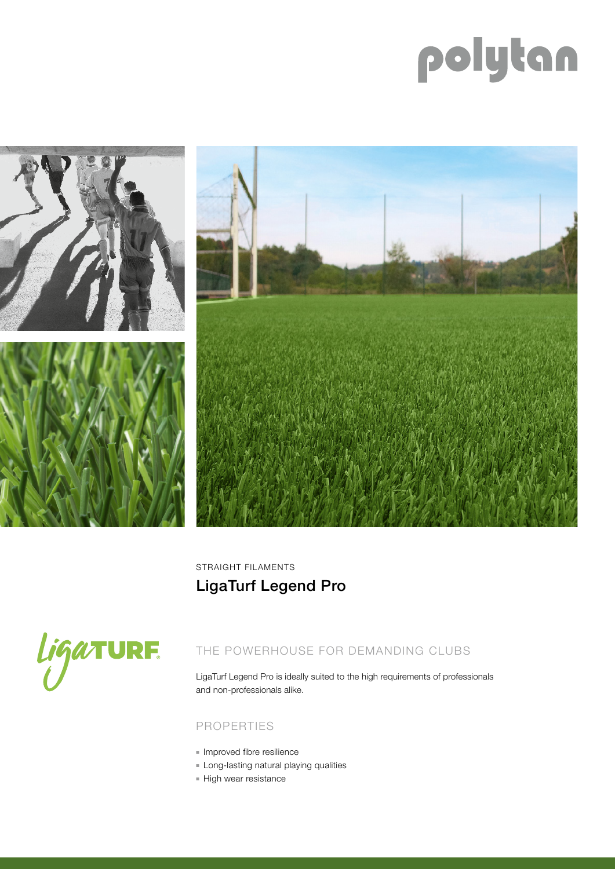# polytan



STRAIGHT FILAMENTS LigaTurf Legend Pro



## THE POWERHOUSE FOR DEMANDING CLUBS

LigaTurf Legend Pro is ideally suited to the high requirements of professionals and non-professionals alike.

#### PROPERTIES

- **n** Improved fibre resilience
- **Example 1** Long-lasting natural playing qualities
- **High wear resistance**